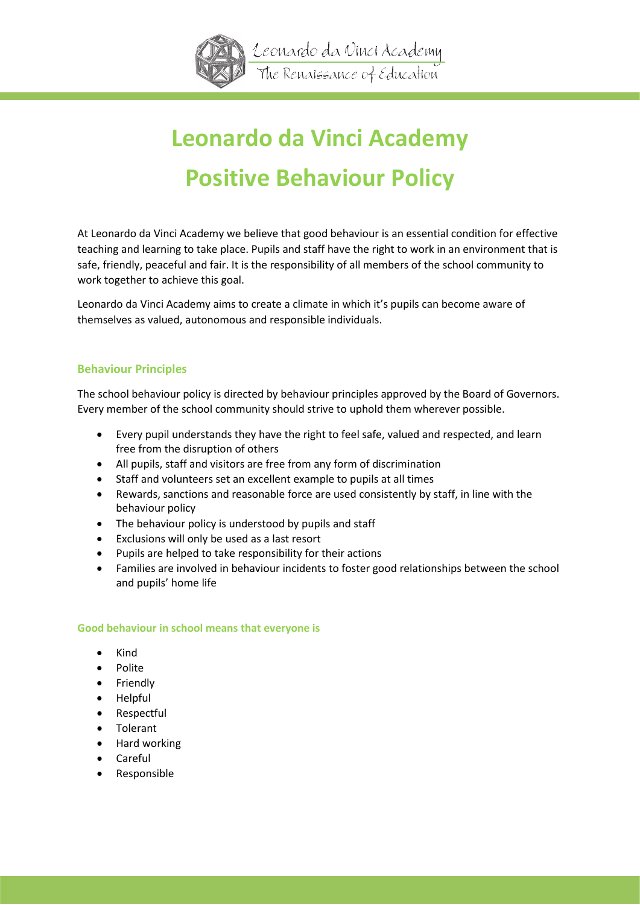

# **Leonardo da Vinci Academy Positive Behaviour Policy**

At Leonardo da Vinci Academy we believe that good behaviour is an essential condition for effective teaching and learning to take place. Pupils and staff have the right to work in an environment that is safe, friendly, peaceful and fair. It is the responsibility of all members of the school community to work together to achieve this goal.

Leonardo da Vinci Academy aims to create a climate in which it's pupils can become aware of themselves as valued, autonomous and responsible individuals.

# **Behaviour Principles**

The school behaviour policy is directed by behaviour principles approved by the Board of Governors. Every member of the school community should strive to uphold them wherever possible.

- Every pupil understands they have the right to feel safe, valued and respected, and learn free from the disruption of others
- All pupils, staff and visitors are free from any form of discrimination
- Staff and volunteers set an excellent example to pupils at all times
- Rewards, sanctions and reasonable force are used consistently by staff, in line with the behaviour policy
- The behaviour policy is understood by pupils and staff
- Exclusions will only be used as a last resort
- Pupils are helped to take responsibility for their actions
- Families are involved in behaviour incidents to foster good relationships between the school and pupils' home life

# **Good behaviour in school means that everyone is**

- Kind
- Polite
- Friendly
- Helpful
- Respectful
- Tolerant
- Hard working
- Careful
- Responsible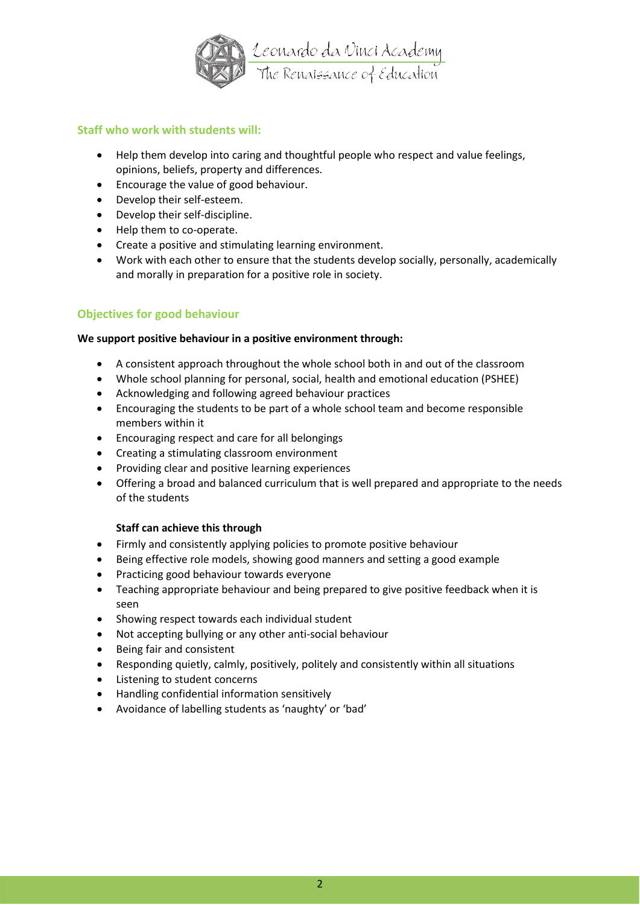

# **Staff who work with students will:**

- Help them develop into caring and thoughtful people who respect and value feelings, opinions, beliefs, property and differences.
- Encourage the value of good behaviour.
- Develop their self-esteem.
- Develop their self-discipline.
- Help them to co-operate.
- Create a positive and stimulating learning environment.
- Work with each other to ensure that the students develop socially, personally, academically and morally in preparation for a positive role in society.

# **Objectives for good behaviour**

# **We support positive behaviour in a positive environment through:**

- A consistent approach throughout the whole school both in and out of the classroom
- Whole school planning for personal, social, health and emotional education (PSHEE)
- Acknowledging and following agreed behaviour practices
- Encouraging the students to be part of a whole school team and become responsible members within it
- Encouraging respect and care for all belongings
- Creating a stimulating classroom environment
- Providing clear and positive learning experiences
- Offering a broad and balanced curriculum that is well prepared and appropriate to the needs of the students

# **Staff can achieve this through**

- Firmly and consistently applying policies to promote positive behaviour
- Being effective role models, showing good manners and setting a good example
- Practicing good behaviour towards everyone
- Teaching appropriate behaviour and being prepared to give positive feedback when it is seen
- Showing respect towards each individual student
- Not accepting bullying or any other anti-social behaviour
- Being fair and consistent
- Responding quietly, calmly, positively, politely and consistently within all situations
- Listening to student concerns
- Handling confidential information sensitively
- Avoidance of labelling students as 'naughty' or 'bad'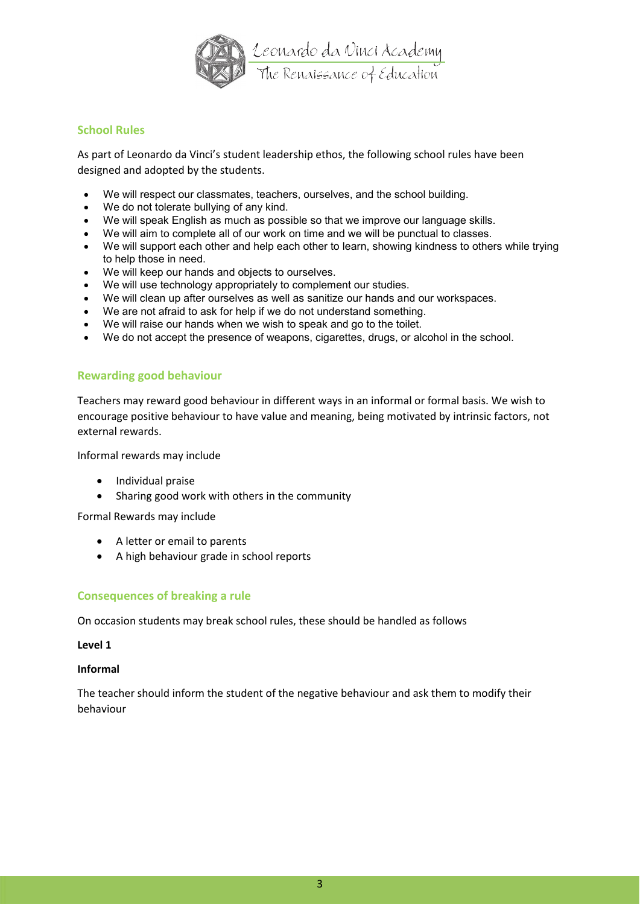

# **School Rules**

As part of Leonardo da Vinci's student leadership ethos, the following school rules have been designed and adopted by the students.

- We will respect our classmates, teachers, ourselves, and the school building.
- We do not tolerate bullying of any kind.
- We will speak English as much as possible so that we improve our language skills.
- We will aim to complete all of our work on time and we will be punctual to classes.
- We will support each other and help each other to learn, showing kindness to others while trying to help those in need.
- We will keep our hands and objects to ourselves.
- We will use technology appropriately to complement our studies.
- We will clean up after ourselves as well as sanitize our hands and our workspaces.
- We are not afraid to ask for help if we do not understand something.
- We will raise our hands when we wish to speak and go to the toilet.
- We do not accept the presence of weapons, cigarettes, drugs, or alcohol in the school.

# **Rewarding good behaviour**

Teachers may reward good behaviour in different ways in an informal or formal basis. We wish to encourage positive behaviour to have value and meaning, being motivated by intrinsic factors, not external rewards.

Informal rewards may include

- Individual praise
- Sharing good work with others in the community

Formal Rewards may include

- A letter or email to parents
- A high behaviour grade in school reports

# **Consequences of breaking a rule**

On occasion students may break school rules, these should be handled as follows

#### **Level 1**

#### **Informal**

The teacher should inform the student of the negative behaviour and ask them to modify their behaviour